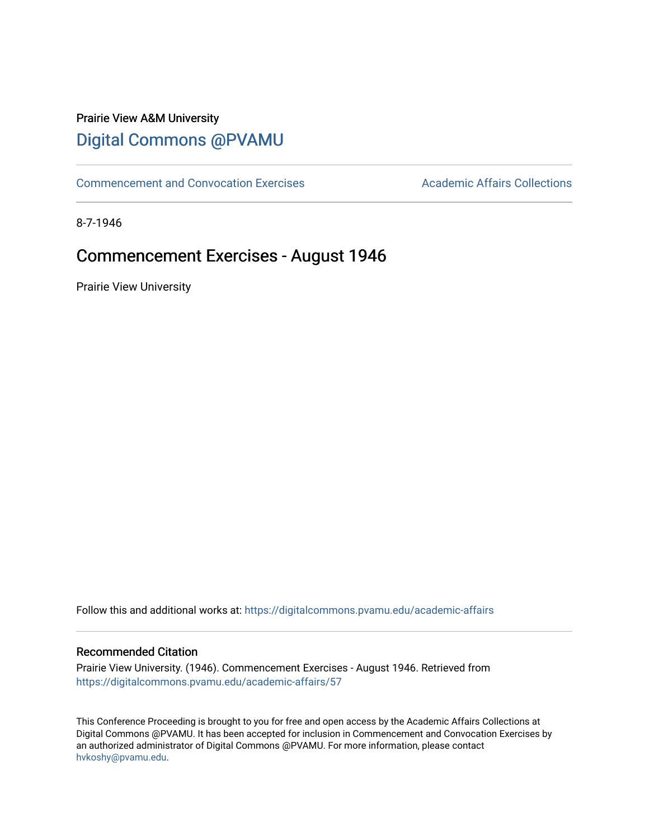# Prairie View A&M University [Digital Commons @PVAMU](https://digitalcommons.pvamu.edu/)

[Commencement and Convocation Exercises](https://digitalcommons.pvamu.edu/academic-affairs) **Academic Affairs Collections** 

8-7-1946

# Commencement Exercises - August 1946

Prairie View University

Follow this and additional works at: [https://digitalcommons.pvamu.edu/academic-affairs](https://digitalcommons.pvamu.edu/academic-affairs?utm_source=digitalcommons.pvamu.edu%2Facademic-affairs%2F57&utm_medium=PDF&utm_campaign=PDFCoverPages)

## Recommended Citation

Prairie View University. (1946). Commencement Exercises - August 1946. Retrieved from [https://digitalcommons.pvamu.edu/academic-affairs/57](https://digitalcommons.pvamu.edu/academic-affairs/57?utm_source=digitalcommons.pvamu.edu%2Facademic-affairs%2F57&utm_medium=PDF&utm_campaign=PDFCoverPages) 

This Conference Proceeding is brought to you for free and open access by the Academic Affairs Collections at Digital Commons @PVAMU. It has been accepted for inclusion in Commencement and Convocation Exercises by an authorized administrator of Digital Commons @PVAMU. For more information, please contact [hvkoshy@pvamu.edu](mailto:hvkoshy@pvamu.edu).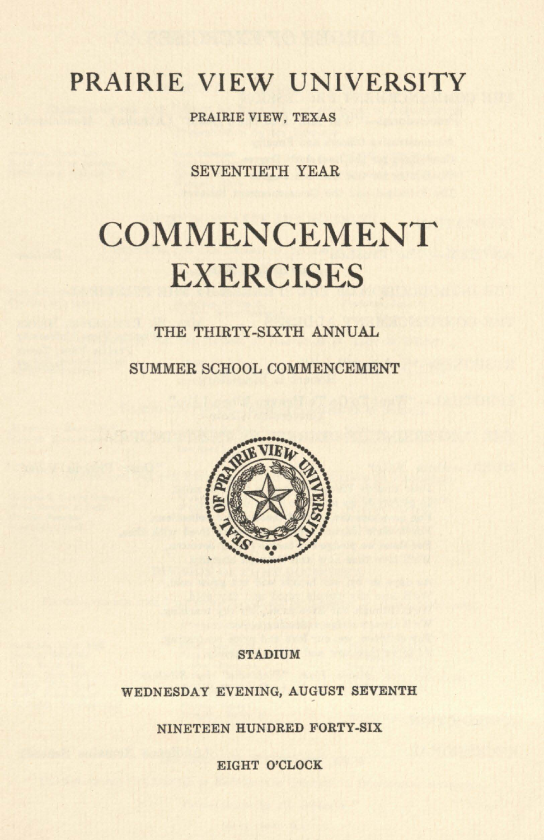# **PRAIRIE VIEW UNIVERSITY**

PRAIRIE VIEW, TEXAS

SEVENTIETH YEAR

# **COMMENCEMENT EXERCISES**

## THE THIRTY-SIXTH ANNUAL

SUMMER SCHOOL COMMENCEMENT



#### **STADIUM**

WEDNESDAY EVENING, AUGUST SEVENTH

NINETEEN HUNDRED FORTY-SIX

EIGHT O'CLOCK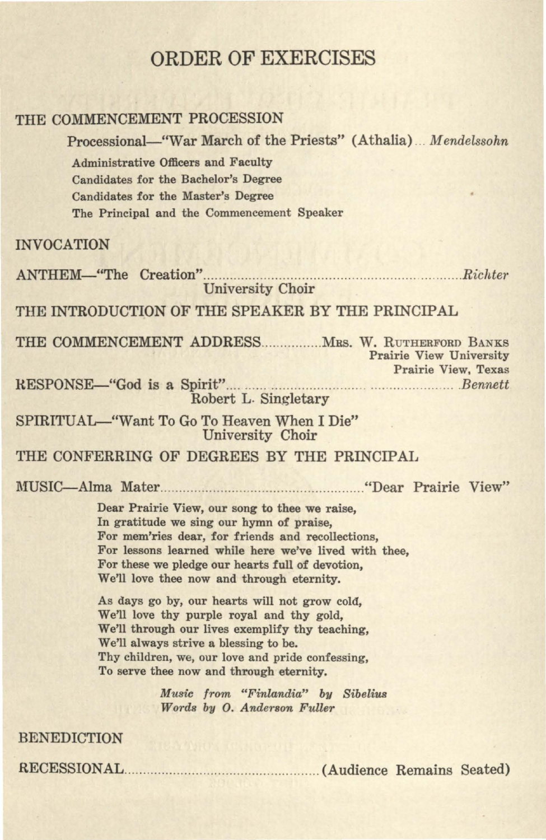## ORDER OF EXERCISES

### THE COMMENCEMENT PROCESSION

Processional-"War March of the Priests" (Athalia) ... *Mendelssohn*  Administrative Officers and Faculty Candidates for the Bachelor's Degree Candidates for the Master's Degree The Principal and the Commencement Speaker INVOCATION ANTHEM-"The Creation" ............... .. .................... .. ........... ......... .... ... *. Richte1·*  University Choir THE INTRODUCTION OF THE SPEAKER BY THE PRINCIPAL THE COMMENCEMENT ADDRESS.............. Mrs. W. RUTHERFORD BANKS Prairie View University Prairie View, Texas RESPONSE-"God is a Spirit" .. .. ...................... ....... ....................... *. Bennett*  Robert L. Singletary SPIRITUAL-"Want To Go To Heaven When I Die" University Choir THE CONFERRING OF DEGREES BY THE PRINCIPAL MUSIC--Alma Mater ...... ... ............................................. "Dear Prairie View"

> Dear Prairie View, our song to thee we raise, In gratitude we sing our hymn of praise, For mem'ries dear, for friends and recollections, For lessons learned while here we've lived with thee, For these we pledge our hearts full of devotion, We'll love thee now and through eternity.

As days go by, our hearts will not grow cold, We'll love thy purple royal and thy gold, We'll through our lives exemplify thy teaching, We'll always strive a blessing to be. Thy children, we, our love and pride confessing, To serve thee now and through eternity.

> *Music from "Finlandia" by Sibelius Words by O. Anderson Fuller*

BENEDICTION

RECESSIONAL .. ................ ........ ...... ....... ..... .. ...... (Audience Remains Seated)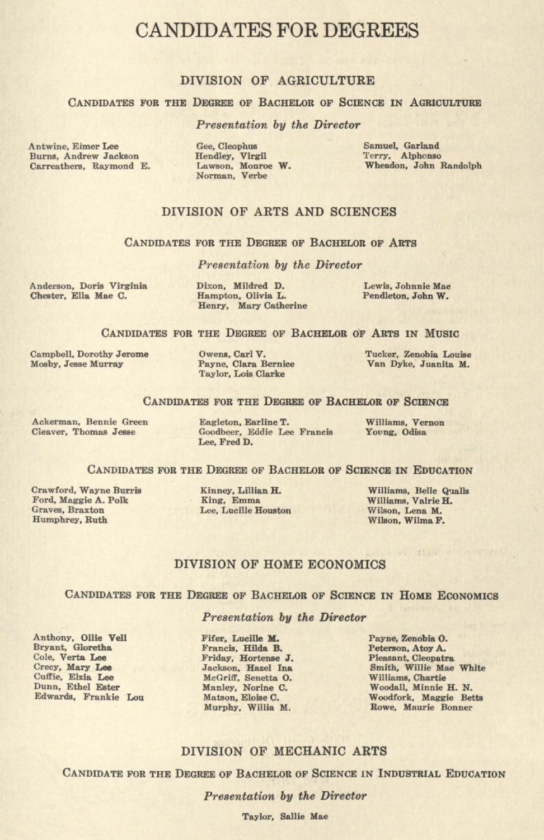## CANDIDATES FOR DEGREES

#### DIVISION OF AGRICULTURE

#### CANDIDATES FOR THE DEGREE OF BACHELOR OF SCIENCE IN AGRICULTURE

#### *Presentation by the Director*

Antwine, Elmer Lee Burns, Andrew Jackson Carreathers, Raymond E.

Gee, Cleophus Hendley, Virgil **Lawson, Monroe W. Norman, Verbe** 

Samuel, Garland Terry, Alphonso Wheadon, John Randolph

#### DIVISION OF ARTS AND SCIENCES

#### CANDIDATES FOR THE DEGREE OF BACHELOR OF ARTS

*Presentation by the Director* 

**Anderson, Doria Virginia**  Chester, Ella Mae C.

Dixon, Mildred D. Hampton, Olivia L. Henry, Mary Catherine

Lewis, Johnnie Mae Pendleton, John **W.** 

#### CANDIDATES FOR THE DEGREE OF BACHELOR OF ARTS IN MUSIC

Campbell, Dorothy Jerome Mosby, Jesse Murray

Owens, Carl V. Payne, Clara Bernice Taylor, Lois Clarke

Tucker, Zenobia Louise Van Dyke, Juanita **M.** 

#### CANDIDATES FOR THE DEGREE OF BACHELOR OF SCIENCE

**Ackerman, Bennie Green**  Cleaver, Thomas Jesse

Eagleton, Earline T. Goodbeer, Eddie Lee Francis Lee, FredD.

Williams, Vernon Young, Odisa

#### CANDIDATES FOR THE DEGREE OF BACHELOR OF SCIENCE IN EDUCATION

Crawford, Wayne Burris Ford, Maggie A. Polk **Graves, Braxton**  Humphrey, Ruth

Kinney, Lillian H. King, Emma Lee, Lucille Houaton

Williams, Belle Qualls Williams, Valrie H. Wilson, Lena M. Wilson, Wilma F.

 $-15.14$ 

#### DIVISION OF HOME ECONOMICS

#### CANDIDATES FOR THE DEGREE OF BACHELOR OF SCIENCE IN HOME ECONOMICS

#### *Presentation by the Director*

Anthony, Ollie Vell Bryant, Gloretha Cole, Verta **Lee**  Crecy, **Mary Lee**  Cuffie, Elzla **Lee**  Dunn, Ethel Ester Edwards, Frankie Lou

Fifer, Lucille M. Francia, Hilda B. Friday, Hortense **J.**  Jackson, Hazel In& McGriff, Senetta 0. Manley, Norine C. Matson, Eloise C. Murphy, Willia M.

Payne, Zenobia 0. Peterson, Atoy A. Pleasant, Cleopatra Smith, Willie Mae White Williams, Chartie Woodall, Minnie H. N. Woodfork, Maggie Betts Rowe, Maurie Bonner

#### DIVISION OF MECHANIC **ARTS**

CANDIDATE FOR THE DEGREE OF BACHELOR OF SCIENCE iN INDUSTRIAL EDUCATION

*Presentation by the Director* 

Taylor, Sallie Mae